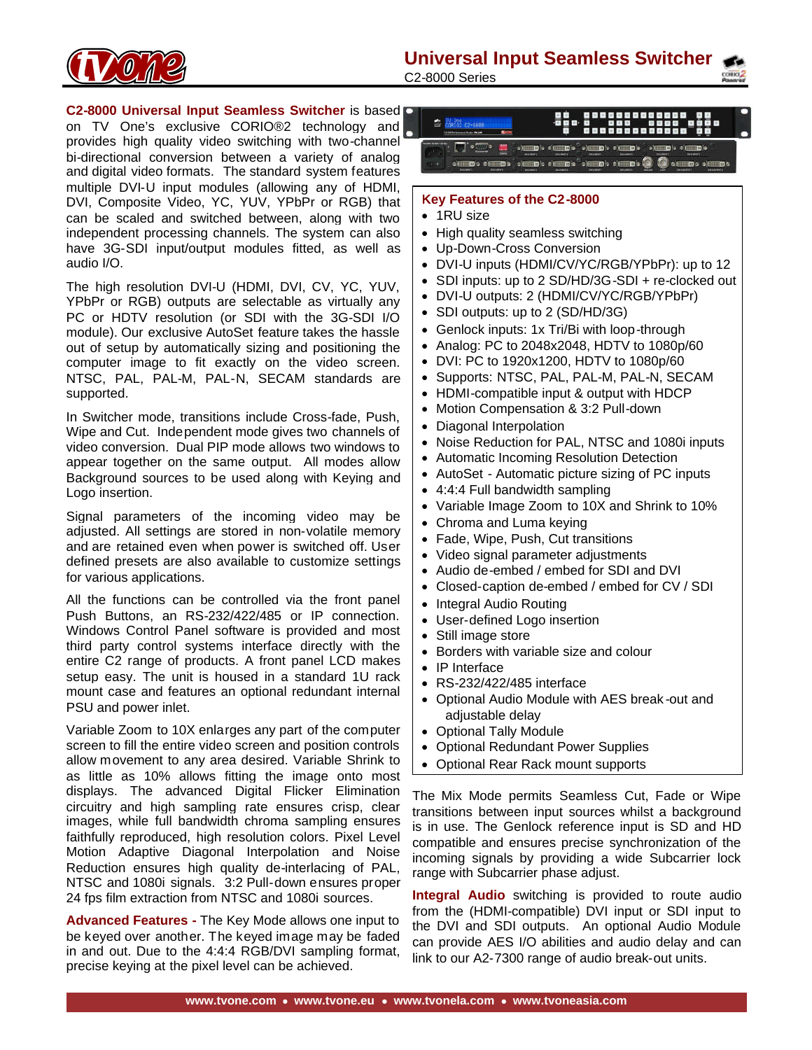**Universal Input Seamless Switcher**



C2-8000 Series

**C2-8000 Universal Input Seamless Switcher** is based on TV One's exclusive CORIO®2 technology and provides high quality video switching with two-channel bi-directional conversion between a variety of analog and digital video formats. The standard system features multiple DVI-U input modules (allowing any of HDMI, DVI, Composite Video, YC, YUV, YPbPr or RGB) that can be scaled and switched between, along with two independent processing channels. The system can also have 3G-SDI input/output modules fitted, as well as audio I/O.

The high resolution DVI-U (HDMI, DVI, CV, YC, YUV, YPbPr or RGB) outputs are selectable as virtually any PC or HDTV resolution (or SDI with the 3G-SDI I/O module). Our exclusive AutoSet feature takes the hassle out of setup by automatically sizing and positioning the computer image to fit exactly on the video screen. NTSC, PAL, PAL-M, PAL-N, SECAM standards are supported.

In Switcher mode, transitions include Cross-fade, Push, Wipe and Cut. Independent mode gives two channels of video conversion. Dual PIP mode allows two windows to appear together on the same output. All modes allow Background sources to be used along with Keying and Logo insertion.

Signal parameters of the incoming video may be adjusted. All settings are stored in non-volatile memory and are retained even when power is switched off. User defined presets are also available to customize settings for various applications.

All the functions can be controlled via the front panel Push Buttons, an RS-232/422/485 or IP connection. Windows Control Panel software is provided and most third party control systems interface directly with the entire C2 range of products. A front panel LCD makes setup easy. The unit is housed in a standard 1U rack mount case and features an optional redundant internal PSU and power inlet.

Variable Zoom to 10X enlarges any part of the computer screen to fill the entire video screen and position controls allow movement to any area desired. Variable Shrink to as little as 10% allows fitting the image onto most displays. The advanced Digital Flicker Elimination circuitry and high sampling rate ensures crisp, clear images, while full bandwidth chroma sampling ensures faithfully reproduced, high resolution colors. Pixel Level Motion Adaptive Diagonal Interpolation and Noise Reduction ensures high quality de-interlacing of PAL, NTSC and 1080i signals. 3:2 Pull-down ensures proper 24 fps film extraction from NTSC and 1080i sources.

**Advanced Features -** The Key Mode allows one input to be keyed over another. The keyed image may be faded in and out. Due to the 4:4:4 RGB/DVI sampling format, precise keying at the pixel level can be achieved.

 $\oplus$   $\frac{10000}{600000}$  $\bullet(\underline{\textbf{m}}\underline{\textbf{m}}) \bullet (\underline{\textbf{m}}\underline{\textbf{m}}) \bullet (\underline{\textbf{m}}\underline{\textbf{m}}) \bullet (\underline{\textbf{m}}\underline{\textbf{m}}) \bullet (\underline{\textbf{m}}\underline{\textbf{m}}) \bullet (\underline{\textbf{m}}\underline{\textbf{m}}) \bullet (\underline{\textbf{m}}\underline{\textbf{m}}) \bullet (\underline{\textbf{m}}\underline{\textbf{m}})$ 

### **Key Features of the C2-8000**

- 1RU size
- High quality seamless switching
- Up-Down-Cross Conversion
- DVI-U inputs (HDMI/CV/YC/RGB/YPbPr): up to 12
- SDI inputs: up to 2 SD/HD/3G-SDI + re-clocked out
- DVI-U outputs: 2 (HDMI/CV/YC/RGB/YPbPr)
- SDI outputs: up to 2 (SD/HD/3G)
- Genlock inputs: 1x Tri/Bi with loop-through
- Analog: PC to 2048x2048, HDTV to 1080p/60
- DVI: PC to 1920x1200, HDTV to 1080p/60
- Supports: NTSC, PAL, PAL-M, PAL-N, SECAM
- HDMI-compatible input & output with HDCP
- Motion Compensation & 3:2 Pull-down
- Diagonal Interpolation
- Noise Reduction for PAL, NTSC and 1080i inputs
- Automatic Incoming Resolution Detection
- AutoSet Automatic picture sizing of PC inputs
- 4:4:4 Full bandwidth sampling
- Variable Image Zoom to 10X and Shrink to 10%
- Chroma and Luma keying
- Fade, Wipe, Push, Cut transitions
- Video signal parameter adjustments
- Audio de-embed / embed for SDI and DVI
- Closed-caption de-embed / embed for CV / SDI
- Integral Audio Routing
- User-defined Logo insertion
- Still image store
- Borders with variable size and colour
- IP Interface
- RS-232/422/485 interface
- Optional Audio Module with AES break -out and adjustable delay
- Optional Tally Module
- Optional Redundant Power Supplies
- Optional Rear Rack mount supports

The Mix Mode permits Seamless Cut, Fade or Wipe transitions between input sources whilst a background is in use. The Genlock reference input is SD and HD compatible and ensures precise synchronization of the incoming signals by providing a wide Subcarrier lock range with Subcarrier phase adjust.

**Integral Audio** switching is provided to route audio from the (HDMI-compatible) DVI input or SDI input to the DVI and SDI outputs. An optional Audio Module can provide AES I/O abilities and audio delay and can link to our A2-7300 range of audio break-out units.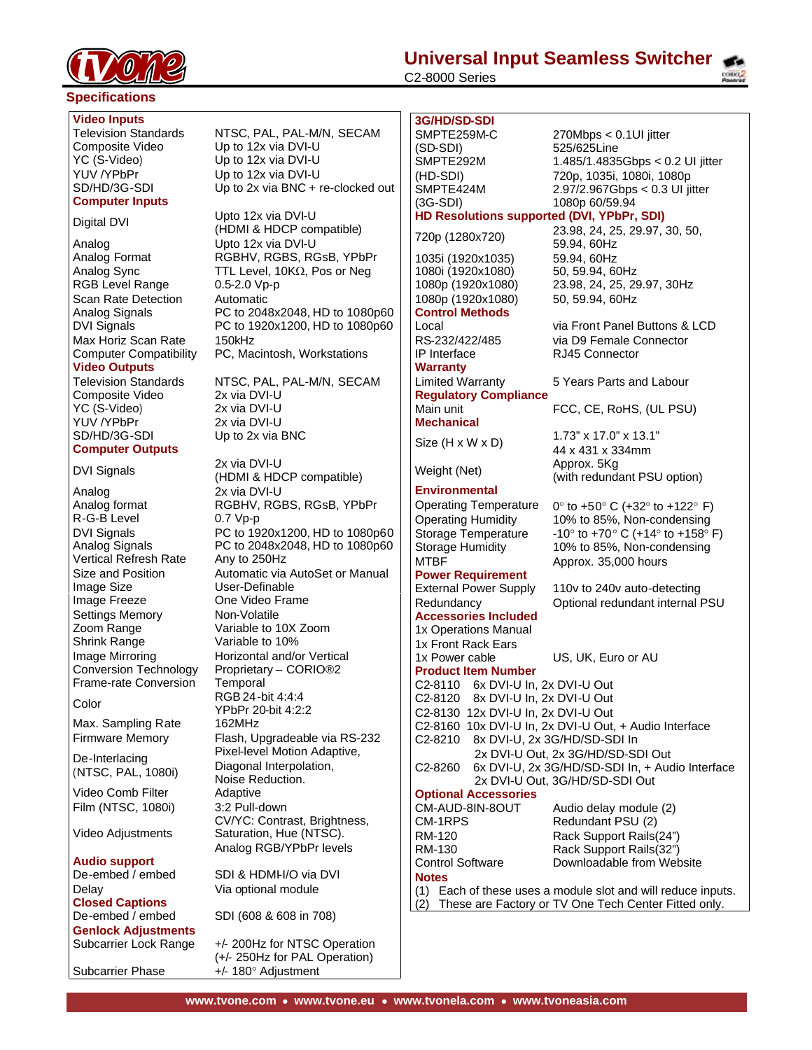

#### **Specifications**

#### **Video Inputs**

Composite Video Up to 12x via DVI-U<br>
YC (S-Video) Up to 12x via DVI-U YUV /YPbPr Up to 12x via DVI-U<br>SD/HD/3G-SDI Up to 2x via BNC + r

## **Computer Inputs**

Analog Upto 12x via DVI-U RGB Level Range 0.5-2.0 Vp-p Scan Rate Detection Automatic

Max Horiz Scan Rate 150kHz **Video Outputs**

Composite Video 2x via DVI-U YC (S-Video) 2x via DVI-U YUV /YPbPr 2x via DVI-U<br>SD/HD/3G-SDI Up to 2x via l **Computer Outputs**

Analog 2x via DVI-U R-G-B Level 0.7 Vp-p Vertical Refresh Rate Any to 250Hz Image Size User-Definable Image Freeze One Video Frame Settings Memory Non-Volatile Zoom Range Variable to 10X Zoom Shrink Range Frame-rate Conversion Temporal

Max. Sampling Rate 162MHz

De-Interlacing (NTSC, PAL, 1080i)

Video Comb Filter Adaptive Film (NTSC, 1080i) 3:2 Pull-down

Video Adjustments

**Audio support** De-embed / embed SDI & HDMI-I/O via DVI Delay **Via optional module Closed Captions Genlock Adjustments**

Television Standards NTSC, PAL, PAL-M/N, SECAM Up to 12x via DVI-U Up to 2x via BNC + re-clocked out

Digital DVI Upto 12x via DVI-U (HDMI & HDCP compatible) Analog Format RGBHV, RGBS, RGsB, YPbPr Analog Sync TTL Level,  $10K\Omega$ , Pos or Neg Analog Signals PC to 2048x2048, HD to 1080p60 DVI Signals PC to 1920x1200, HD to 1080p60 Computer Compatibility PC, Macintosh, Workstations

Television Standards NTSC, PAL, PAL-M/N, SECAM Up to 2x via BNC

DVI Signals 2x via DVI-U (HDMI & HDCP compatible) Analog format RGBHV, RGBS, RGsB, YPbPr DVI Signals **PC** to 1920x1200, HD to 1080p60<br>Analog Signals PC to 2048x2048, HD to 1080p60 PC to 2048x2048, HD to 1080p60 Size and Position **Automatic via AutoSet or Manual** Image Mirroring **Horizontal and/or Vertical**<br>Conversion Technology Proprietary - CORIO®2 Proprietary – CORIO®2 Color RGB 24-bit 4:4:4 YPbPr 20-bit 4:2:2 Firmware Memory Flash, Upgradeable via RS-232 Pixel-level Motion Adaptive, Diagonal Interpolation, Noise Reduction. CV/YC: Contrast, Brightness, Saturation, Hue (NTSC). Analog RGB/YPbPr levels

De-embed / embed SDI (608 & 608 in 708)

Subcarrier Lock Range +/- 200Hz for NTSC Operation (+/- 250Hz for PAL Operation) Subcarrier Phase +/- 180° Adjustment

# **Universal Input Seamless Switcher**

C2-8000 Series



**3G/HD/SD-SDI** SMPTE259M-C (SD-SDI) 270Mbps < 0.1UI jitter 525/625Line SMPTE292M (HD-SDI) 1.485/1.4835Gbps < 0.2 UI jitter 720p, 1035i, 1080i, 1080p SMPTE424M (3G-SDI) 2.97/2.967Gbps < 0.3 UI jitter 1080p 60/59.94 **HD Resolutions supported (DVI, YPbPr, SDI)** 720p (1280x720) 23.98, 24, 25, 29.97, 30, 50, 59.94, 60Hz 1035i (1920x1035) 59.94, 60Hz 1080i (1920x1080) 1080p (1920x1080) 23.98, 24, 25, 29.97, 30Hz 1080p (1920x1080) 50, 59.94, 60Hz **Control Methods** Local via Front Panel Buttons & LCD RS-232/422/485 via D9 Female Connector IP Interface RJ45 Connector **Warranty** Limited Warranty 5 Years Parts and Labour **Regulatory Compliance** Main unit **FCC, CE, RoHS, (UL PSU) Mechanical** Size (H x W x D) 1.73" x 17.0" x 13.1" 44 x 431 x 334mm Weight (Net) Approx. 5Kg (with redundant PSU option) **Environmental** Operating Temperature  $0^\circ$  to +50° C (+32° to +122° F) Operating Humidity 10% to 85%, Non-condensing Storage Temperature  $-10^{\circ}$  to  $+70^{\circ}$  C ( $+14^{\circ}$  to  $+158^{\circ}$  F)<br>Storage Humidity 10% to 85%, Non-condensing 10% to 85%, Non-condensing MTBF Approx. 35,000 hours **Power Requirement** External Power Supply 110v to 240v auto-detecting Optional redundant internal PSU **Accessories Included**  1x Operations Manual 1x Front Rack Ears<br>1x Power cable US, UK, Euro or AU **Product Item Number** C2-8110 6x DVI-U In, 2x DVI-U Out C2-8120 8x DVI-U In, 2x DVI-U Out C2-8130 12x DVI-U In, 2x DVI-U Out C2-8160 10x DVI-U In, 2x DVI-U Out, + Audio Interface C2-8210 8x DVI-U, 2x 3G/HD/SD-SDI In 2x DVI-U Out, 2x 3G/HD/SD-SDI Out C2-8260 6x DVI-U, 2x 3G/HD/SD-SDI In, + Audio Interface 2x DVI-U Out, 3G/HD/SD-SDI Out **Optional Accessories** CM-AUD-8IN-8OUT Audio delay module (2) CM-1RPS Redundant PSU (2) RM-120 Rack Support Rails(24") RM-130 Rack Support Rails(32") Downloadable from Website **Notes**

(1) Each of these uses a module slot and will reduce inputs. (2) These are Factory or TV One Tech Center Fitted only.